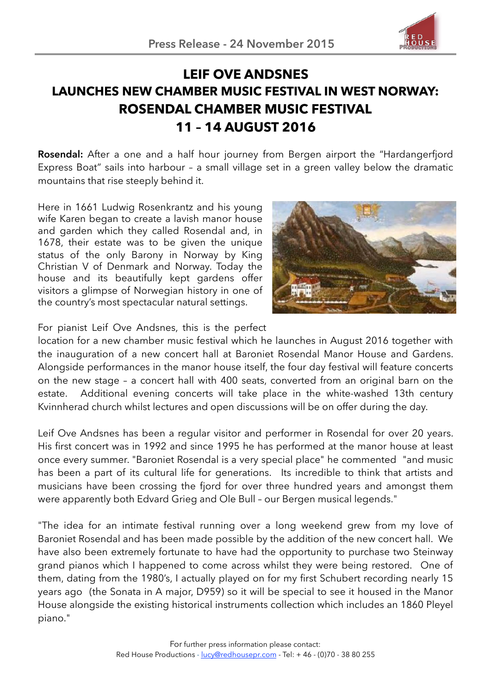

## **LEIF OVE ANDSNES LAUNCHES NEW CHAMBER MUSIC FESTIVAL IN WEST NORWAY: ROSENDAL CHAMBER MUSIC FESTIVAL 11 – 14 AUGUST 2016**

**Rosendal:** After a one and a half hour journey from Bergen airport the "Hardangerfjord Express Boat" sails into harbour – a small village set in a green valley below the dramatic mountains that rise steeply behind it.

Here in 1661 Ludwig Rosenkrantz and his young wife Karen began to create a lavish manor house and garden which they called Rosendal and, in 1678, their estate was to be given the unique status of the only Barony in Norway by King Christian V of Denmark and Norway. Today the house and its beautifully kept gardens offer visitors a glimpse of Norwegian history in one of the country's most spectacular natural settings.



For pianist Leif Ove Andsnes, this is the perfect

location for a new chamber music festival which he launches in August 2016 together with the inauguration of a new concert hall at Baroniet Rosendal Manor House and Gardens. Alongside performances in the manor house itself, the four day festival will feature concerts on the new stage – a concert hall with 400 seats, converted from an original barn on the estate. Additional evening concerts will take place in the white-washed 13th century Kvinnherad church whilst lectures and open discussions will be on offer during the day.

Leif Ove Andsnes has been a regular visitor and performer in Rosendal for over 20 years. His first concert was in 1992 and since 1995 he has performed at the manor house at least once every summer. "Baroniet Rosendal is a very special place" he commented "and music has been a part of its cultural life for generations. Its incredible to think that artists and musicians have been crossing the fjord for over three hundred years and amongst them were apparently both Edvard Grieg and Ole Bull – our Bergen musical legends."

"The idea for an intimate festival running over a long weekend grew from my love of Baroniet Rosendal and has been made possible by the addition of the new concert hall. We have also been extremely fortunate to have had the opportunity to purchase two Steinway grand pianos which I happened to come across whilst they were being restored. One of them, dating from the 1980's, I actually played on for my first Schubert recording nearly 15 years ago (the Sonata in A major, D959) so it will be special to see it housed in the Manor House alongside the existing historical instruments collection which includes an 1860 Pleyel piano."